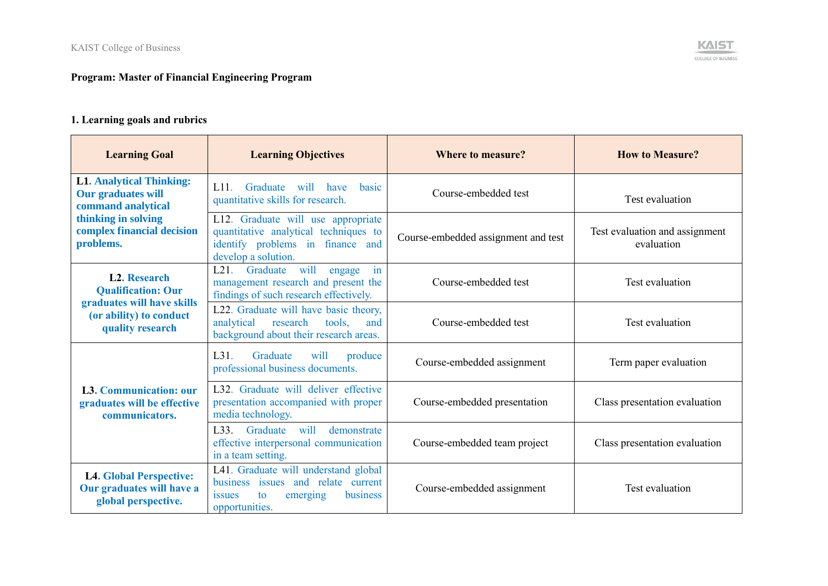## **Program: Master of Financial Engineering Program**

## **1. Learning goals and rubrics**

| <b>Learning Goal</b>                                                               | <b>Learning Objectives</b>                                                                                                                  | <b>Where to measure?</b>            | <b>How to Measure?</b>                       |
|------------------------------------------------------------------------------------|---------------------------------------------------------------------------------------------------------------------------------------------|-------------------------------------|----------------------------------------------|
| <b>L1. Analytical Thinking:</b><br><b>Our graduates will</b><br>command analytical | $1.11$ .<br>Graduate<br>will<br>have<br>hasic<br>quantitative skills for research.                                                          | Course-embedded test                | Test evaluation                              |
| thinking in solving<br>complex financial decision<br>problems.                     | L12. Graduate will use appropriate<br>quantitative analytical techniques to<br>identify problems in finance and<br>develop a solution.      | Course-embedded assignment and test | Test evaluation and assignment<br>evaluation |
| <b>L2. Research</b><br><b>Qualification: Our</b>                                   | Graduate<br>will<br>L21.<br>engage<br>in<br>management research and present the<br>findings of such research effectively.                   | Course-embedded test                | Test evaluation                              |
| graduates will have skills<br>(or ability) to conduct<br>quality research          | L22. Graduate will have basic theory,<br>analytical<br>research<br>tools,<br>and<br>background about their research areas.                  | Course-embedded test                | Test evaluation                              |
|                                                                                    | L31.<br>Graduate<br>will<br>produce<br>professional business documents.                                                                     | Course-embedded assignment          | Term paper evaluation                        |
| <b>L3. Communication: our</b><br>graduates will be effective<br>communicators.     | L32. Graduate will deliver effective<br>presentation accompanied with proper<br>media technology.                                           | Course-embedded presentation        | Class presentation evaluation                |
|                                                                                    | demonstrate<br>L <sub>33</sub> . Graduate<br>will<br>effective interpersonal communication<br>in a team setting.                            | Course-embedded team project        | Class presentation evaluation                |
| <b>L4. Global Perspective:</b><br>Our graduates will have a<br>global perspective. | L41. Graduate will understand global<br>business issues and relate current<br>emerging<br>business<br><i>s</i> sues<br>to<br>opportunities. | Course-embedded assignment          | Test evaluation                              |

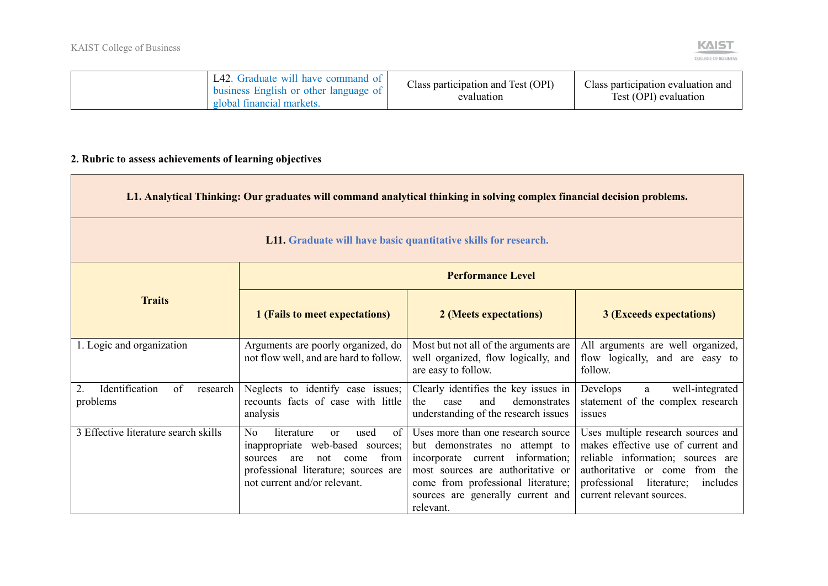

| L42. Graduate will have command of<br>business English or other language of<br>global financial markets. | Class participation and Test (OPI)<br>evaluation | Class participation evaluation and<br>Test (OPI) evaluation |
|----------------------------------------------------------------------------------------------------------|--------------------------------------------------|-------------------------------------------------------------|
|----------------------------------------------------------------------------------------------------------|--------------------------------------------------|-------------------------------------------------------------|

## **2. Rubric to assess achievements of learning objectives**

| L1. Analytical Thinking: Our graduates will command analytical thinking in solving complex financial decision problems. |                                                                                                                                                                                           |                                                                                                                                                                                                                                       |                                                                                                                                                                                                                      |
|-------------------------------------------------------------------------------------------------------------------------|-------------------------------------------------------------------------------------------------------------------------------------------------------------------------------------------|---------------------------------------------------------------------------------------------------------------------------------------------------------------------------------------------------------------------------------------|----------------------------------------------------------------------------------------------------------------------------------------------------------------------------------------------------------------------|
| L11. Graduate will have basic quantitative skills for research.                                                         |                                                                                                                                                                                           |                                                                                                                                                                                                                                       |                                                                                                                                                                                                                      |
|                                                                                                                         |                                                                                                                                                                                           | <b>Performance Level</b>                                                                                                                                                                                                              |                                                                                                                                                                                                                      |
| <b>Traits</b>                                                                                                           | 1 (Fails to meet expectations)                                                                                                                                                            | 2 (Meets expectations)                                                                                                                                                                                                                | <b>3 (Exceeds expectations)</b>                                                                                                                                                                                      |
| 1. Logic and organization                                                                                               | Arguments are poorly organized, do<br>not flow well, and are hard to follow.                                                                                                              | Most but not all of the arguments are<br>well organized, flow logically, and<br>are easy to follow.                                                                                                                                   | All arguments are well organized,<br>flow logically, and are easy to<br>follow.                                                                                                                                      |
| Identification<br>of<br>research<br>2.<br>problems                                                                      | Neglects to identify case issues;<br>recounts facts of case with little<br>analysis                                                                                                       | Clearly identifies the key issues in<br>and<br>demonstrates<br>the<br>case<br>understanding of the research issues                                                                                                                    | well-integrated<br>Develops<br>a<br>statement of the complex research<br>issues                                                                                                                                      |
| 3 Effective literature search skills                                                                                    | No<br>of<br>literature<br>used<br>or<br>inappropriate web-based sources;<br>from<br>sources<br>not<br>are<br>come<br>professional literature; sources are<br>not current and/or relevant. | Uses more than one research source<br>but demonstrates no attempt to<br>incorporate current information;<br>most sources are authoritative or<br>come from professional literature;<br>sources are generally current and<br>relevant. | Uses multiple research sources and<br>makes effective use of current and<br>reliable information; sources are<br>authoritative or come from the<br>professional literature;<br>includes<br>current relevant sources. |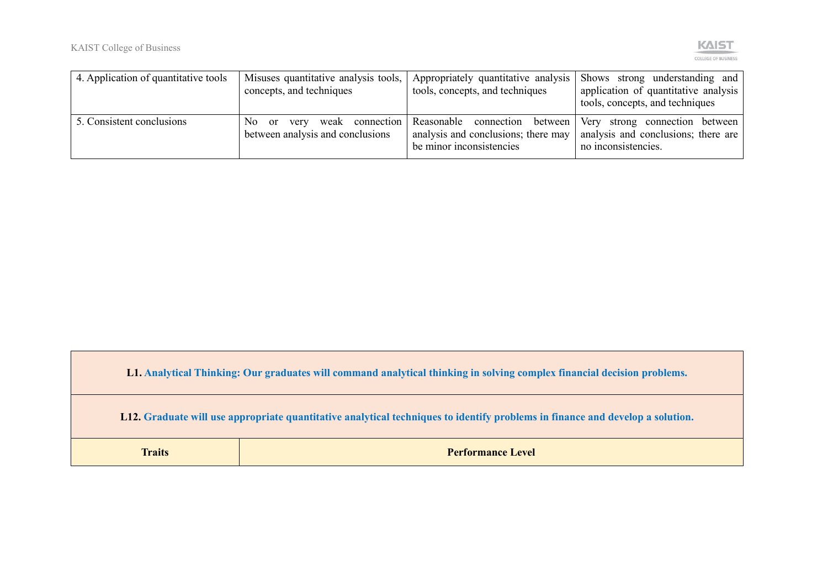

| 4. Application of quantitative tools | concepts, and techniques                                | Misuses quantitative analysis tools, Appropriately quantitative analysis<br>tools, concepts, and techniques      | Shows strong understanding and<br>application of quantitative analysis<br>tools, concepts, and techniques |
|--------------------------------------|---------------------------------------------------------|------------------------------------------------------------------------------------------------------------------|-----------------------------------------------------------------------------------------------------------|
| 5. Consistent conclusions            | No.<br>very<br>- or<br>between analysis and conclusions | weak connection Reasonable connection between<br>analysis and conclusions; there may<br>be minor inconsistencies | Very<br>strong connection between<br>analysis and conclusions; there are<br>no inconsistencies.           |

**L1. Analytical Thinking: Our graduates will command analytical thinking in solving complex financial decision problems.**

**L12. Graduate will use appropriate quantitative analytical techniques to identify problems in finance and develop a solution.**

**Traits Performance Level**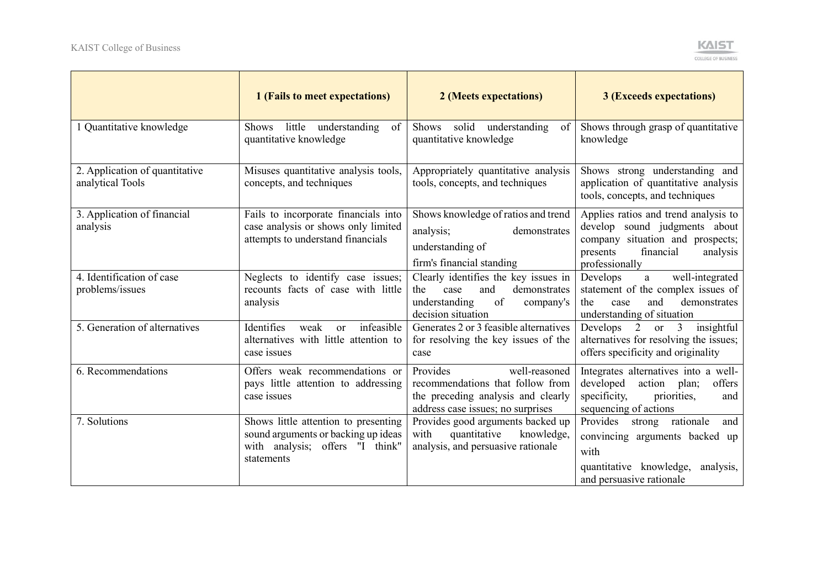

|                                                    | 1 (Fails to meet expectations)                                                                                               | 2 (Meets expectations)                                                                                                                   | <b>3 (Exceeds expectations)</b>                                                                                                                                  |
|----------------------------------------------------|------------------------------------------------------------------------------------------------------------------------------|------------------------------------------------------------------------------------------------------------------------------------------|------------------------------------------------------------------------------------------------------------------------------------------------------------------|
| 1 Quantitative knowledge                           | Shows little understanding<br>of<br>quantitative knowledge                                                                   | solid understanding<br>Shows<br>of<br>quantitative knowledge                                                                             | Shows through grasp of quantitative<br>knowledge                                                                                                                 |
| 2. Application of quantitative<br>analytical Tools | Misuses quantitative analysis tools,<br>concepts, and techniques                                                             | Appropriately quantitative analysis<br>tools, concepts, and techniques                                                                   | Shows strong understanding and<br>application of quantitative analysis<br>tools, concepts, and techniques                                                        |
| 3. Application of financial<br>analysis            | Fails to incorporate financials into<br>case analysis or shows only limited<br>attempts to understand financials             | Shows knowledge of ratios and trend<br>analysis;<br>demonstrates<br>understanding of<br>firm's financial standing                        | Applies ratios and trend analysis to<br>develop sound judgments about<br>company situation and prospects;<br>financial<br>presents<br>analysis<br>professionally |
| 4. Identification of case<br>problems/issues       | Neglects to identify case issues;<br>recounts facts of case with little<br>analysis                                          | Clearly identifies the key issues in<br>and<br>demonstrates<br>the<br>case<br>of<br>understanding<br>company's<br>decision situation     | well-integrated<br>Develops<br>a<br>statement of the complex issues of<br>and<br>demonstrates<br>the<br>case<br>understanding of situation                       |
| 5. Generation of alternatives                      | infeasible<br>Identifies<br>weak<br><b>or</b><br>alternatives with little attention to<br>case issues                        | Generates 2 or 3 feasible alternatives<br>for resolving the key issues of the<br>case                                                    | insightful<br>Develops 2<br>$\overline{3}$<br><b>or</b><br>alternatives for resolving the issues;<br>offers specificity and originality                          |
| 6. Recommendations                                 | Offers weak recommendations or<br>pays little attention to addressing<br>case issues                                         | Provides<br>well-reasoned<br>recommendations that follow from<br>the preceding analysis and clearly<br>address case issues; no surprises | Integrates alternatives into a well-<br>developed<br>action<br>plan;<br>offers<br>specificity,<br>priorities,<br>and<br>sequencing of actions                    |
| 7. Solutions                                       | Shows little attention to presenting<br>sound arguments or backing up ideas<br>with analysis; offers "I think"<br>statements | Provides good arguments backed up<br>quantitative<br>knowledge,<br>with<br>analysis, and persuasive rationale                            | Provides<br>strong rationale<br>and<br>convincing arguments backed up<br>with<br>quantitative knowledge,<br>analysis,<br>and persuasive rationale                |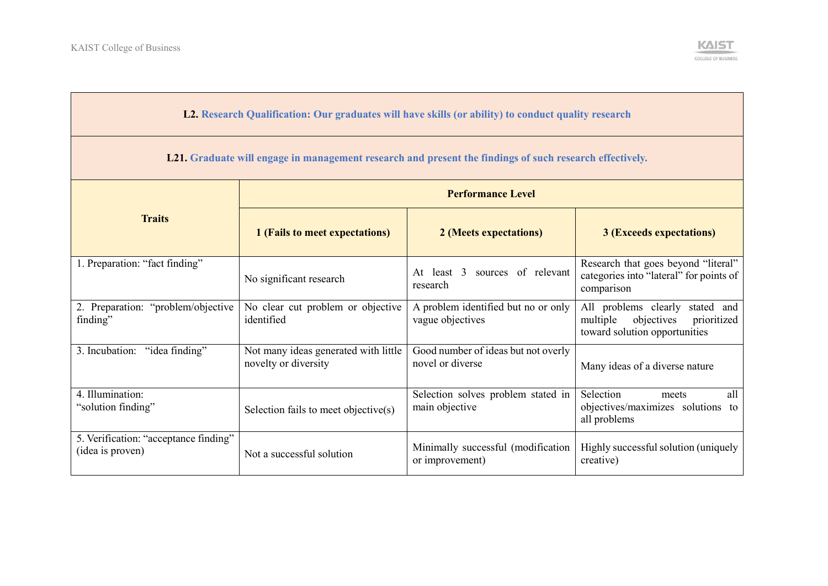

## **L2. Research Qualification: Our graduates will have skills (or ability) to conduct quality research**

**L21. Graduate will engage in management research and present the findings of such research effectively.**

|                                                           | <b>Performance Level</b>                                     |                                                         |                                                                                                              |
|-----------------------------------------------------------|--------------------------------------------------------------|---------------------------------------------------------|--------------------------------------------------------------------------------------------------------------|
| <b>Traits</b>                                             | 1 (Fails to meet expectations)                               | 2 (Meets expectations)                                  | <b>3 (Exceeds expectations)</b>                                                                              |
| 1. Preparation: "fact finding"                            | No significant research                                      | sources of relevant<br>least 3<br>At<br>research        | Research that goes beyond "literal"<br>categories into "lateral" for points of<br>comparison                 |
| "problem/objective<br>2. Preparation:<br>finding"         | No clear cut problem or objective<br>identified              | A problem identified but no or only<br>vague objectives | All problems clearly<br>stated and<br>objectives<br>multiple<br>prioritized<br>toward solution opportunities |
| 3. Incubation: "idea finding"                             | Not many ideas generated with little<br>novelty or diversity | Good number of ideas but not overly<br>novel or diverse | Many ideas of a diverse nature                                                                               |
| 4. Illumination:<br>"solution finding"                    | Selection fails to meet objective(s)                         | Selection solves problem stated in<br>main objective    | Selection<br>all<br>meets<br>objectives/maximizes solutions to<br>all problems                               |
| 5. Verification: "acceptance finding"<br>(idea is proven) | Not a successful solution                                    | Minimally successful (modification<br>or improvement)   | Highly successful solution (uniquely<br>creative)                                                            |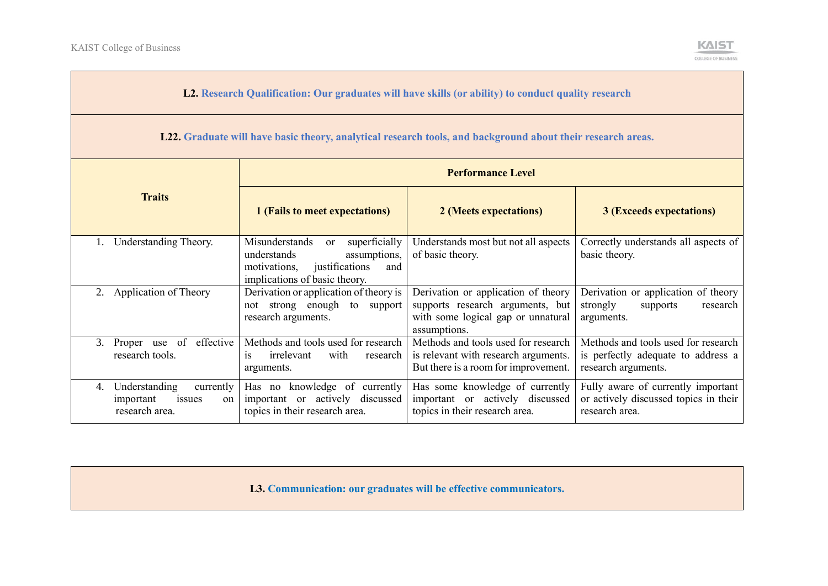$\sim$ 



|    | L2. Research Qualification: Our graduates will have skills (or ability) to conduct quality research         |                                                                                                                                                |                                                                                                                               |                                                                                                  |
|----|-------------------------------------------------------------------------------------------------------------|------------------------------------------------------------------------------------------------------------------------------------------------|-------------------------------------------------------------------------------------------------------------------------------|--------------------------------------------------------------------------------------------------|
|    | L22. Graduate will have basic theory, analytical research tools, and background about their research areas. |                                                                                                                                                |                                                                                                                               |                                                                                                  |
|    | <b>Performance Level</b>                                                                                    |                                                                                                                                                |                                                                                                                               |                                                                                                  |
|    | <b>Traits</b>                                                                                               | 1 (Fails to meet expectations)                                                                                                                 | 2 (Meets expectations)                                                                                                        | <b>3 (Exceeds expectations)</b>                                                                  |
|    | Understanding Theory.                                                                                       | Misunderstands<br>superficially<br>or<br>assumptions,<br>understands<br>justifications<br>motivations,<br>and<br>implications of basic theory. | Understands most but not all aspects<br>of basic theory.                                                                      | Correctly understands all aspects of<br>basic theory.                                            |
|    | 2. Application of Theory                                                                                    | Derivation or application of theory is<br>not strong enough to support<br>research arguments.                                                  | Derivation or application of theory<br>supports research arguments, but<br>with some logical gap or unnatural<br>assumptions. | Derivation or application of theory<br>strongly<br>supports<br>research<br>arguments.            |
|    | 3. Proper use of effective<br>research tools.                                                               | Methods and tools used for research<br>with<br>irrelevant<br><i>is</i><br>research<br>arguments.                                               | Methods and tools used for research<br>is relevant with research arguments.<br>But there is a room for improvement.           | Methods and tools used for research<br>is perfectly adequate to address a<br>research arguments. |
| 4. | Understanding<br>currently<br>important<br>issues<br>on<br>research area.                                   | Has no knowledge of currently<br>important or actively discussed<br>topics in their research area.                                             | Has some knowledge of currently<br>important or actively discussed<br>topics in their research area.                          | Fully aware of currently important<br>or actively discussed topics in their<br>research area.    |

**L3. Communication: our graduates will be effective communicators.**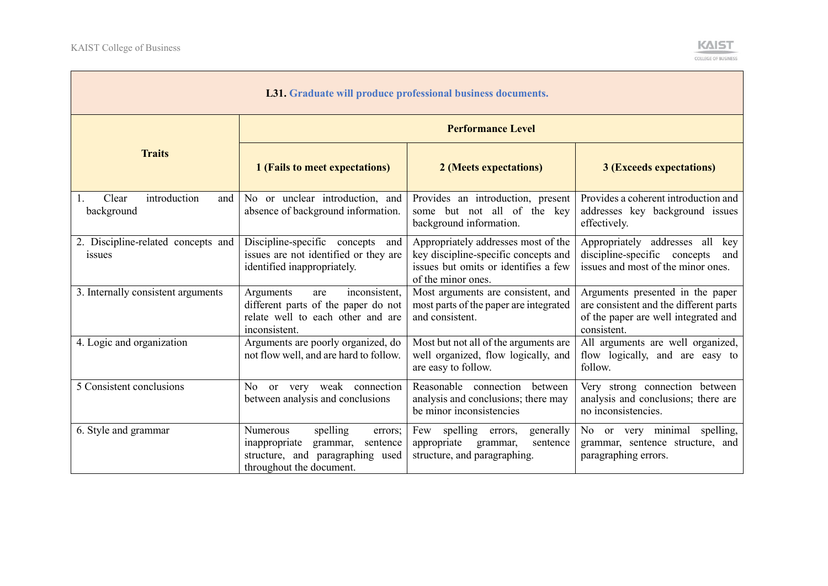

| <b>L31.</b> Graduate will produce professional business documents. |                                                                                                                                          |                                                                                                                                           |                                                                                                                                   |  |  |
|--------------------------------------------------------------------|------------------------------------------------------------------------------------------------------------------------------------------|-------------------------------------------------------------------------------------------------------------------------------------------|-----------------------------------------------------------------------------------------------------------------------------------|--|--|
|                                                                    |                                                                                                                                          | <b>Performance Level</b>                                                                                                                  |                                                                                                                                   |  |  |
| <b>Traits</b>                                                      | 1 (Fails to meet expectations)                                                                                                           | 2 (Meets expectations)                                                                                                                    | <b>3 (Exceeds expectations)</b>                                                                                                   |  |  |
| introduction<br>Clear<br>and<br>background                         | No or unclear introduction, and<br>absence of background information.                                                                    | Provides an introduction, present<br>some but not all of the key<br>background information.                                               | Provides a coherent introduction and<br>addresses key background issues<br>effectively.                                           |  |  |
| 2. Discipline-related concepts and<br>issues                       | Discipline-specific concepts<br>and<br>issues are not identified or they are<br>identified inappropriately.                              | Appropriately addresses most of the<br>key discipline-specific concepts and<br>issues but omits or identifies a few<br>of the minor ones. | Appropriately addresses all key<br>discipline-specific concepts<br>and<br>issues and most of the minor ones.                      |  |  |
| 3. Internally consistent arguments                                 | inconsistent,<br>Arguments<br>are<br>different parts of the paper do not<br>relate well to each other and are<br>inconsistent.           | Most arguments are consistent, and<br>most parts of the paper are integrated<br>and consistent.                                           | Arguments presented in the paper<br>are consistent and the different parts<br>of the paper are well integrated and<br>consistent. |  |  |
| 4. Logic and organization                                          | Arguments are poorly organized, do<br>not flow well, and are hard to follow.                                                             | Most but not all of the arguments are<br>well organized, flow logically, and<br>are easy to follow.                                       | All arguments are well organized,<br>flow logically, and are easy to<br>follow.                                                   |  |  |
| 5 Consistent conclusions                                           | or very weak connection<br>No<br>between analysis and conclusions                                                                        | Reasonable connection<br>between<br>analysis and conclusions; there may<br>be minor inconsistencies                                       | Very strong connection between<br>analysis and conclusions; there are<br>no inconsistencies.                                      |  |  |
| 6. Style and grammar                                               | Numerous<br>spelling<br>errors;<br>inappropriate<br>grammar,<br>sentence<br>structure, and paragraphing used<br>throughout the document. | Few spelling errors,<br>generally<br>appropriate<br>grammar,<br>sentence<br>structure, and paragraphing.                                  | No or very minimal spelling,<br>grammar, sentence structure, and<br>paragraphing errors.                                          |  |  |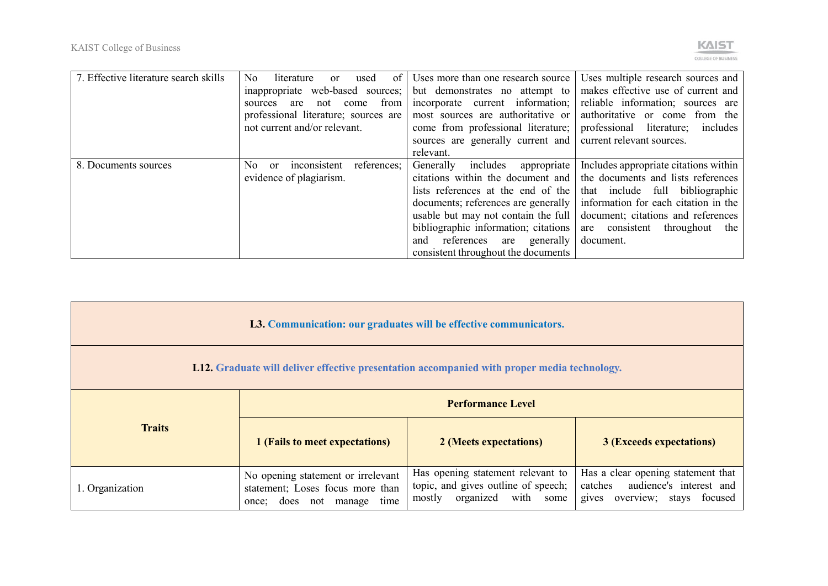

| 7. Effective literature search skills | N <sub>o</sub><br>of 1<br>literature<br>used<br><sub>or</sub>  | Uses more than one research source                              | Uses multiple research sources and                                             |
|---------------------------------------|----------------------------------------------------------------|-----------------------------------------------------------------|--------------------------------------------------------------------------------|
|                                       |                                                                | inappropriate web-based sources; but demonstrates no attempt to | makes effective use of current and                                             |
|                                       | trom  <br>not<br>come<br>are<br>sources                        | incorporate current information;                                | reliable information; sources are                                              |
|                                       | professional literature; sources are                           | most sources are authoritative or                               | authoritative or come from the                                                 |
|                                       | not current and/or relevant.                                   | come from professional literature;                              | professional literature; includes                                              |
|                                       |                                                                | sources are generally current and current relevant sources.     |                                                                                |
|                                       |                                                                | relevant.                                                       |                                                                                |
| 8. Documents sources                  | references;<br>N <sub>o</sub><br>inconsistent<br><sub>or</sub> | includes<br>Generally<br>appropriate                            | Includes appropriate citations within                                          |
|                                       | evidence of plagiarism.                                        |                                                                 | citations within the document and   the documents and lists references         |
|                                       |                                                                | lists references at the end of the                              | that include full bibliographic                                                |
|                                       |                                                                |                                                                 | documents; references are generally   information for each citation in the     |
|                                       |                                                                |                                                                 | usable but may not contain the full $\vert$ document; citations and references |
|                                       |                                                                | bibliographic information; citations                            | are consistent<br>throughout<br>the                                            |
|                                       |                                                                | references<br>are generally<br>and                              | document.                                                                      |
|                                       |                                                                | consistent throughout the documents                             |                                                                                |

| L3. Communication: our graduates will be effective communicators.<br><b>L12.</b> Graduate will deliver effective presentation accompanied with proper media technology. |                                                                                                      |                                                                                                           |                                                                                                           |
|-------------------------------------------------------------------------------------------------------------------------------------------------------------------------|------------------------------------------------------------------------------------------------------|-----------------------------------------------------------------------------------------------------------|-----------------------------------------------------------------------------------------------------------|
|                                                                                                                                                                         | <b>Performance Level</b>                                                                             |                                                                                                           |                                                                                                           |
| <b>Traits</b>                                                                                                                                                           | 1 (Fails to meet expectations)                                                                       | 2 (Meets expectations)                                                                                    | <b>3 (Exceeds expectations)</b>                                                                           |
| 1. Organization                                                                                                                                                         | No opening statement or irrelevant<br>statement; Loses focus more than<br>once; does not manage time | Has opening statement relevant to<br>topic, and gives outline of speech;<br>mostly organized<br>with some | Has a clear opening statement that<br>audience's interest and<br>catches<br>gives overview; stays focused |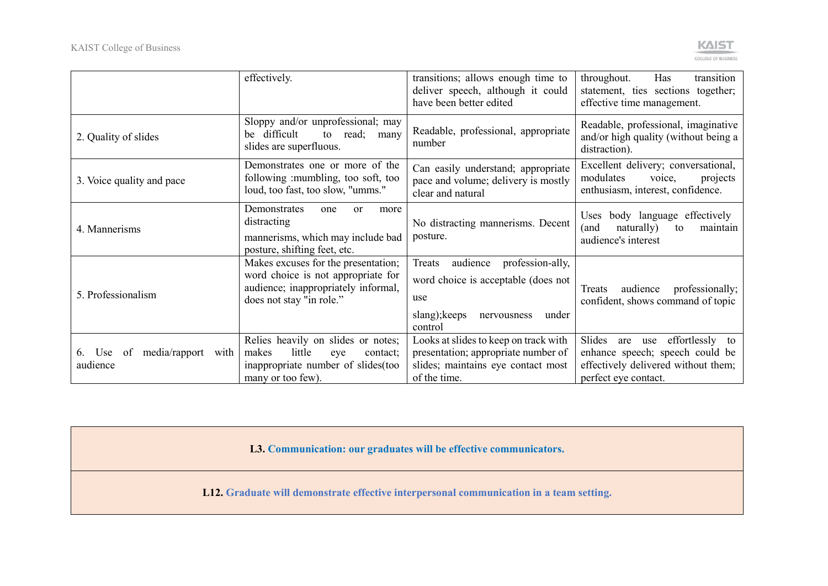

|                                                | effectively.                                                                                                                                 | transitions; allows enough time to<br>deliver speech, although it could<br>have been better edited                                       | transition<br>throughout.<br>Has<br>statement, ties sections together;<br>effective time management.                                         |
|------------------------------------------------|----------------------------------------------------------------------------------------------------------------------------------------------|------------------------------------------------------------------------------------------------------------------------------------------|----------------------------------------------------------------------------------------------------------------------------------------------|
| 2. Quality of slides                           | Sloppy and/or unprofessional; may<br>be difficult<br>to read; many<br>slides are superfluous.                                                | Readable, professional, appropriate<br>number                                                                                            | Readable, professional, imaginative<br>and/or high quality (without being a<br>distraction).                                                 |
| 3. Voice quality and pace                      | Demonstrates one or more of the<br>following : mumbling, too soft, too<br>loud, too fast, too slow, "umms."                                  | Can easily understand; appropriate<br>pace and volume; delivery is mostly<br>clear and natural                                           | Excellent delivery; conversational,<br>modulates<br>voice,<br>projects<br>enthusiasm, interest, confidence.                                  |
| 4. Mannerisms                                  | Demonstrates<br>one<br><sub>or</sub><br>more<br>distracting<br>mannerisms, which may include bad<br>posture, shifting feet, etc.             | No distracting mannerisms. Decent<br>posture.                                                                                            | Uses body language effectively<br>naturally)<br>(and<br>maintain<br>to<br>audience's interest                                                |
| 5. Professionalism                             | Makes excuses for the presentation;<br>word choice is not appropriate for<br>audience; inappropriately informal,<br>does not stay "in role." | profession-ally,<br>audience<br>Treats<br>word choice is acceptable (does not<br>use<br>slang); keeps<br>under<br>nervousness<br>control | professionally;<br>audience<br>Treats<br>confident, shows command of topic                                                                   |
| $median/rapport$ with<br>Use<br>0t<br>audience | Relies heavily on slides or notes;<br>little<br>makes<br>eye<br>contact;<br>inappropriate number of slides (too<br>many or too few).         | Looks at slides to keep on track with<br>presentation; appropriate number of<br>slides; maintains eye contact most<br>of the time.       | Slides<br>effortlessly<br>use<br>are<br>to<br>enhance speech; speech could be<br>effectively delivered without them;<br>perfect eye contact. |

**L3. Communication: our graduates will be effective communicators.**

**L12. Graduate will demonstrate effective interpersonal communication in a team setting.**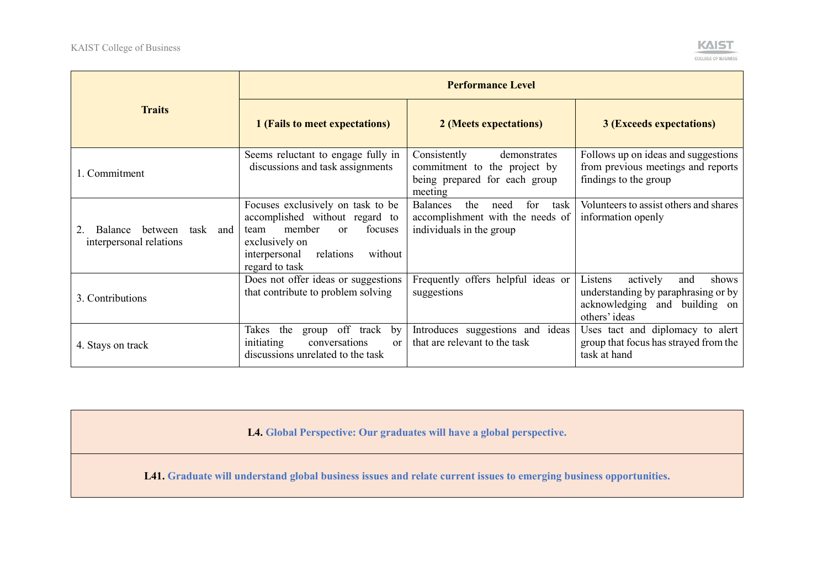

|                                                                  | <b>Performance Level</b>                                                                                                                                                                       |                                                                                                               |                                                                                                                              |
|------------------------------------------------------------------|------------------------------------------------------------------------------------------------------------------------------------------------------------------------------------------------|---------------------------------------------------------------------------------------------------------------|------------------------------------------------------------------------------------------------------------------------------|
| <b>Traits</b>                                                    | 1 (Fails to meet expectations)                                                                                                                                                                 | 2 (Meets expectations)                                                                                        | <b>3 (Exceeds expectations)</b>                                                                                              |
| 1. Commitment                                                    | Seems reluctant to engage fully in<br>discussions and task assignments                                                                                                                         | Consistently<br>demonstrates<br>commitment to the project by<br>being prepared for each group<br>meeting      | Follows up on ideas and suggestions<br>from previous meetings and reports<br>findings to the group                           |
| between<br><b>Balance</b><br>task and<br>interpersonal relations | Focuses exclusively on task to be<br>accomplished without regard to<br>member<br>focuses<br>team<br><sub>or</sub><br>exclusively on<br>relations<br>interpersonal<br>without<br>regard to task | <b>Balances</b><br>the<br>for<br>task<br>need<br>accomplishment with the needs of<br>individuals in the group | Volunteers to assist others and shares<br>information openly                                                                 |
| 3. Contributions                                                 | Does not offer ideas or suggestions<br>that contribute to problem solving                                                                                                                      | Frequently offers helpful ideas or<br>suggestions                                                             | actively<br>Listens<br>shows<br>and<br>understanding by paraphrasing or by<br>acknowledging and building on<br>others' ideas |
| 4. Stays on track                                                | off<br>Takes<br>the<br>track<br>by<br>group<br>initiating<br>conversations<br><sub>or</sub><br>discussions unrelated to the task                                                               | Introduces suggestions and ideas<br>that are relevant to the task                                             | Uses tact and diplomacy to alert<br>group that focus has strayed from the<br>task at hand                                    |

**L4. Global Perspective: Our graduates will have a global perspective.**

**L41. Graduate will understand global business issues and relate current issues to emerging business opportunities.**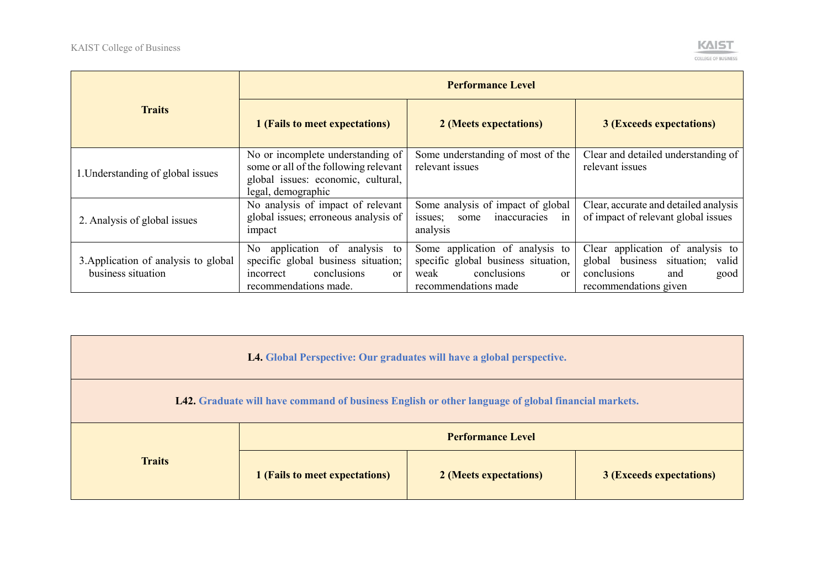

| <b>Traits</b>                                              | <b>Performance Level</b>                                                                                                                   |                                                                                                                                        |                                                                                                                                |  |
|------------------------------------------------------------|--------------------------------------------------------------------------------------------------------------------------------------------|----------------------------------------------------------------------------------------------------------------------------------------|--------------------------------------------------------------------------------------------------------------------------------|--|
|                                                            | 1 (Fails to meet expectations)                                                                                                             | 2 (Meets expectations)                                                                                                                 | <b>3 (Exceeds expectations)</b>                                                                                                |  |
| 1. Understanding of global issues                          | No or incomplete understanding of<br>some or all of the following relevant<br>global issues: economic, cultural,<br>legal, demographic     | Some understanding of most of the<br>relevant issues                                                                                   | Clear and detailed understanding of<br>relevant issues                                                                         |  |
| 2. Analysis of global issues                               | No analysis of impact of relevant<br>global issues; erroneous analysis of<br>impact                                                        | Some analysis of impact of global<br>inaccuracies<br>issues;<br>some<br>1n<br>analysis                                                 | Clear, accurate and detailed analysis<br>of impact of relevant global issues                                                   |  |
| 3. Application of analysis to global<br>business situation | No application of analysis to<br>specific global business situation;<br>conclusions<br>incorrect<br><sub>or</sub><br>recommendations made. | Some application of analysis to<br>specific global business situation,<br>conclusions<br>weak<br><sub>or</sub><br>recommendations made | Clear application of analysis to<br>global business situation;<br>valid<br>conclusions<br>and<br>good<br>recommendations given |  |

| L4. Global Perspective: Our graduates will have a global perspective.                              |                                |                        |                                 |  |  |  |
|----------------------------------------------------------------------------------------------------|--------------------------------|------------------------|---------------------------------|--|--|--|
| L42. Graduate will have command of business English or other language of global financial markets. |                                |                        |                                 |  |  |  |
| <b>Traits</b>                                                                                      | <b>Performance Level</b>       |                        |                                 |  |  |  |
|                                                                                                    | 1 (Fails to meet expectations) | 2 (Meets expectations) | <b>3 (Exceeds expectations)</b> |  |  |  |